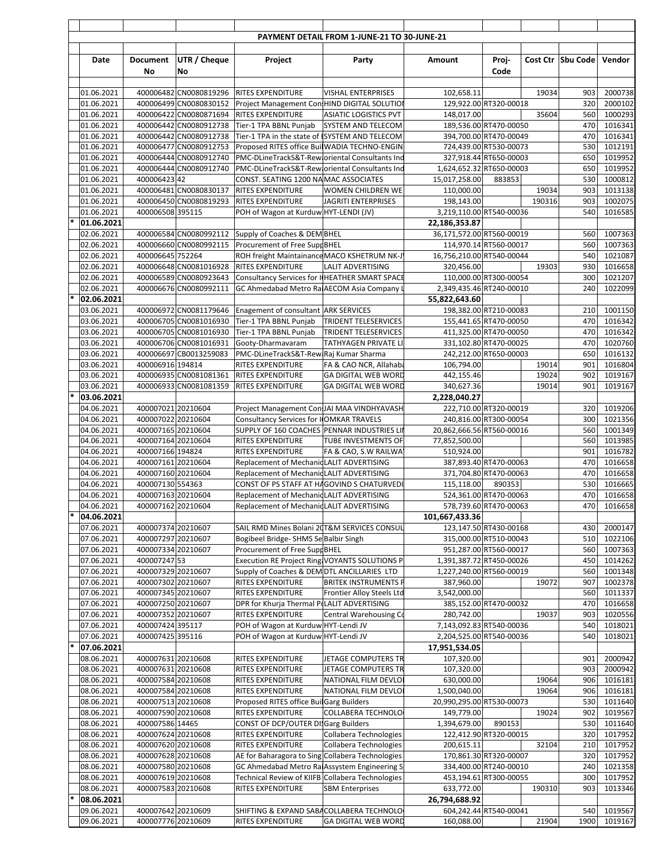|        |                          |                                          |                                                  |                                                                                         | PAYMENT DETAIL FROM 1-JUNE-21 TO 30-JUNE-21               |                                            |                                  |                |                   |                    |
|--------|--------------------------|------------------------------------------|--------------------------------------------------|-----------------------------------------------------------------------------------------|-----------------------------------------------------------|--------------------------------------------|----------------------------------|----------------|-------------------|--------------------|
|        |                          |                                          |                                                  |                                                                                         |                                                           |                                            |                                  |                |                   |                    |
|        | Date                     | Document<br>No                           | <b>UTR / Cheque</b><br>No                        | Project                                                                                 | Party                                                     | Amount                                     | Proj-<br>Code                    |                | Cost Ctr Sbu Code | Vendor             |
|        |                          |                                          |                                                  |                                                                                         |                                                           |                                            |                                  |                |                   |                    |
|        | 01.06.2021               |                                          | 400006482 CN0080819296                           | <b>RITES EXPENDITURE</b>                                                                | <b>VISHAL ENTERPRISES</b>                                 | 102,658.11                                 |                                  | 19034          | 903               | 2000738            |
|        | 01.06.2021               |                                          | 400006499 CN0080830152                           | Project Management Con HIND DIGITAL SOLUTIO                                             |                                                           |                                            | 129,922.00 RT320-00018           |                | 320               | 2000102            |
|        | 01.06.2021<br>01.06.2021 |                                          | 400006422 CN0080871694                           | <b>RITES EXPENDITURE</b><br>400006442 CN0080912738 Tier-1 TPA BBNL Punjab               | <b>ASIATIC LOGISTICS PVT</b><br><b>SYSTEM AND TELECOM</b> | 148,017.00                                 | 189,536.00 RT470-00050           | 35604          | 560<br>470        | 1000293<br>1016341 |
|        | 01.06.2021               |                                          |                                                  | 400006442 CN0080912738 Tier-1 TPA in the state of ISYSTEM AND TELECOM                   |                                                           |                                            | 394,700.00 RT470-00049           |                | 470               | 1016341            |
|        | 01.06.2021               |                                          | 400006477 CN0080912753                           | Proposed RITES office Buil WADIA TECHNO-ENGIN                                           |                                                           |                                            | 724,439.00 RT530-00073           |                | 530               | 1012191            |
|        | 01.06.2021               |                                          | 400006444 CN0080912740                           | PMC-DLineTrackS&T-Rew oriental Consultants Inc                                          |                                                           |                                            | 327,918.44 RT650-00003           |                | 650               | 1019952            |
|        | 01.06.2021               |                                          | 400006444 CN0080912740                           | PMC-DLineTrackS&T-Rew oriental Consultants Inc                                          |                                                           | 1,624,652.32 RT650-00003                   |                                  |                | 650               | 1019952<br>1000812 |
|        | 01.06.2021<br>01.06.2021 | 400006423 42                             | 400006481 CN0080830137                           | CONST. SEATING 1200 NA MAC ASSOCIATES<br><b>RITES EXPENDITURE</b>                       | WOMEN CHILDREN WE                                         | 15,017,258.00<br>110,000.00                | 883853                           | 19034          | 530<br>903        | 1013138            |
|        | 01.06.2021               |                                          | 400006450 CN0080819293                           | <b>RITES EXPENDITURE</b>                                                                | <b>JAGRITI ENTERPRISES</b>                                | 198,143.00                                 |                                  | 190316         | 903               | 1002075            |
|        | 01.06.2021               | 400006508 395115                         |                                                  | POH of Wagon at Kurduw HYT-LENDI (JV)                                                   |                                                           | 3,219,110.00 RT540-00036                   |                                  |                | 540               | 1016585            |
|        | 01.06.2021               |                                          |                                                  |                                                                                         |                                                           | 22,186,353.87                              |                                  |                |                   |                    |
|        | 02.06.2021<br>02.06.2021 |                                          | 400006584 CN0080992112<br>400006660 CN0080992115 | Supply of Coaches & DEM BHEL                                                            |                                                           | 36,171,572.00 RT560-00019                  | 114,970.14 RT560-00017           |                | 560<br>560        | 1007363<br>1007363 |
|        | 02.06.2021               | 400006645 752264                         |                                                  | Procurement of Free Supr BHEL<br>ROH freight Maintainance MACO KSHETRUM NK-J            |                                                           | 16,756,210.00 RT540-00044                  |                                  |                | 540               | 1021087            |
|        | 02.06.2021               |                                          | 400006648 CN0081016928                           | <b>RITES EXPENDITURE</b>                                                                | <b>LALIT ADVERTISING</b>                                  | 320,456.00                                 |                                  | 19303          | 930               | 1016658            |
|        | 02.06.2021               |                                          | 400006589 CN0080923643                           | Consultancy Services for I HEATHER SMART SPACE                                          |                                                           |                                            | 110,000.00 RT300-00054           |                | 300               | 1021207            |
|        | 02.06.2021               |                                          | 400006676 CN0080992111                           | GC Ahmedabad Metro Ra AECOM Asia Company                                                |                                                           | 2,349,435.46 RT240-00010                   |                                  |                | 240               | 1022099            |
|        | 02.06.2021<br>03.06.2021 |                                          | 400006972 CN0081179646                           | Enagement of consultant ARK SERVICES                                                    |                                                           | 55,822,643.60                              | 198,382.00 RT210-00083           |                | 210               | 1001150            |
|        | 03.06.2021               |                                          | 400006705 CN0081016930                           | Tier-1 TPA BBNL Punjab                                                                  | TRIDENT TELESERVICES                                      |                                            | 155,441.65 RT470-00050           |                | 470               | 1016342            |
|        | 03.06.2021               |                                          |                                                  | 400006705 CN0081016930 Tier-1 TPA BBNL Punjab                                           | TRIDENT TELESERVICES                                      |                                            | 411,325.00 RT470-00050           |                | 470               | 1016342            |
|        | 03.06.2021               |                                          | 400006706 CN0081016931                           | Gooty-Dharmavaram                                                                       | TATHYAGEN PRIVATE LI                                      |                                            | 331,102.80 RT470-00025           |                | 470               | 1020760            |
|        | 03.06.2021               |                                          | 400006697 CB0013259083                           | PMC-DLineTrackS&T-Rew Raj Kumar Sharma                                                  |                                                           |                                            | 242,212.00 RT650-00003           |                | 650               | 1016132            |
|        | 03.06.2021<br>03.06.2021 | 400006916 194814                         | 400006935 CN0081081361                           | RITES EXPENDITURE<br><b>RITES EXPENDITURE</b>                                           | FA & CAO NCR, Allahaba<br><b>GA DIGITAL WEB WORD</b>      | 106,794.00<br>442,155.46                   |                                  | 19014<br>19024 | 901<br>902        | 1016804<br>1019167 |
|        | 03.06.2021               |                                          | 400006933 CN0081081359                           | <b>RITES EXPENDITURE</b>                                                                | <b>GA DIGITAL WEB WORD</b>                                | 340,627.36                                 |                                  | 19014          | 901               | 1019167            |
|        | 03.06.2021               |                                          |                                                  |                                                                                         |                                                           | 2,228,040.27                               |                                  |                |                   |                    |
|        | 04.06.2021               | 400007021 20210604                       |                                                  | Project Management Con JAI MAA VINDHYAVASH                                              |                                                           |                                            | 222,710.00 RT320-00019           |                | 320               | 1019206            |
|        | 04.06.2021               | 400007022 20210604                       |                                                  | <b>Consultancy Services for I OMKAR TRAVELS</b>                                         |                                                           |                                            | 240,816.00 RT300-00054           |                | 300               | 1021356            |
|        | 04.06.2021<br>04.06.2021 | 400007165 20210604<br>400007164 20210604 |                                                  | SUPPLY OF 160 COACHES PENNAR INDUSTRIES LII<br>RITES EXPENDITURE                        | TUBE INVESTMENTS OF                                       | 20,862,666.56 RT560-00016<br>77,852,500.00 |                                  |                | 560<br>560        | 1001349<br>1013985 |
|        | 04.06.2021               | 400007166 194824                         |                                                  | <b>RITES EXPENDITURE</b>                                                                | FA & CAO, S.W RAILWA                                      | 510,924.00                                 |                                  |                | 901               | 1016782            |
|        | 04.06.2021               | 400007161 20210604                       |                                                  | Replacement of Mechanic LALIT ADVERTISING                                               |                                                           |                                            | 387,893.40 RT470-00063           |                | 470               | 1016658            |
|        | 04.06.2021               | 400007160 20210604                       |                                                  | Replacement of Mechanic LALIT ADVERTISING                                               |                                                           |                                            | 371,704.80 RT470-00063           |                | 470               | 1016658            |
|        | 04.06.2021<br>04.06.2021 | 400007130 554363<br>400007163 20210604   |                                                  | CONST OF PS STAFF AT HAGOVIND S CHATURVEDI<br>Replacement of Mechanic LALIT ADVERTISING |                                                           | 115,118.00                                 | 890353<br>524,361.00 RT470-00063 |                | 530<br>470        | 1016665<br>1016658 |
|        | 04.06.2021               | 400007162 20210604                       |                                                  | Replacement of Mechanic LALIT ADVERTISING                                               |                                                           |                                            | 578,739.60 RT470-00063           |                | 470               | 1016658            |
| $\ast$ | 04.06.2021               |                                          |                                                  |                                                                                         |                                                           | 101,667,433.36                             |                                  |                |                   |                    |
|        | 07.06.2021               | 400007374 20210607                       |                                                  | SAIL RMD Mines Bolani 20T&M SERVICES CONSUL                                             |                                                           |                                            | 123,147.50 RT430-00168           |                | 430               | 2000147            |
|        | 07.06.2021               | 400007297 20210607                       |                                                  | Bogibeel Bridge- SHMS Se Balbir Singh                                                   |                                                           |                                            | 315,000.00 RT510-00043           |                | 510               | 1022106            |
|        | 07.06.2021<br>07.06.2021 | 400007334 20210607<br>400007247 53       |                                                  | Procurement of Free Supr BHEL<br>Execution RE Project Ring VOYANTS SOLUTIONS P          |                                                           | 1,391,387.72 RT450-00026                   | 951,287.00 RT560-00017           |                | 560<br>450        | 1007363<br>1014262 |
|        | 07.06.2021               | 400007329 20210607                       |                                                  | Supply of Coaches & DEM DTL ANCILLARIES LTD                                             |                                                           | 1,227,240.00 RT560-00019                   |                                  |                | 560               | 1001348            |
|        | 07.06.2021               | 400007302 20210607                       |                                                  | RITES EXPENDITURE                                                                       | <b>BRITEK INSTRUMENTS F</b>                               | 387,960.00                                 |                                  | 19072          | 907               | 1002378            |
|        | 07.06.2021               | 400007345 20210607                       |                                                  | RITES EXPENDITURE                                                                       | Frontier Alloy Steels Ltd                                 | 3,542,000.00                               |                                  |                | 560               | 1011337            |
|        | 07.06.2021               | 400007250 20210607                       |                                                  | DPR for Khurja Thermal P(LALIT ADVERTISING                                              |                                                           |                                            | 385,152.00 RT470-00032           |                | 470               | 1016658            |
|        | 07.06.2021<br>07.06.2021 | 400007352 20210607<br>400007424 395117   |                                                  | RITES EXPENDITURE<br>POH of Wagon at Kurduw HYT-Lendi JV                                | Central Warehousing Co                                    | 280,742.00<br>7,143,092.83 RT540-00036     |                                  | 19037          | 903<br>540        | 1020556<br>1018021 |
|        | 07.06.2021               | 400007425 395116                         |                                                  | POH of Wagon at Kurduw HYT-Lendi JV                                                     |                                                           | 2,204,525.00 RT540-00036                   |                                  |                | 540               | 1018021            |
| $\ast$ | 07.06.2021               |                                          |                                                  |                                                                                         |                                                           | 17,951,534.05                              |                                  |                |                   |                    |
|        | 08.06.2021               | 400007631 20210608                       |                                                  | RITES EXPENDITURE                                                                       | JETAGE COMPUTERS TR                                       | 107,320.00                                 |                                  |                | 901               | 2000942            |
|        | 08.06.2021<br>08.06.2021 | 400007631 20210608<br>400007584 20210608 |                                                  | RITES EXPENDITURE<br>RITES EXPENDITURE                                                  | JETAGE COMPUTERS TR<br>NATIONAL FILM DEVLO                | 107,320.00<br>630,000.00                   |                                  | 19064          | 903<br>906        | 2000942<br>1016181 |
|        | 08.06.2021               | 400007584 20210608                       |                                                  | RITES EXPENDITURE                                                                       | NATIONAL FILM DEVLO                                       | 1,500,040.00                               |                                  | 19064          | 906               | 1016181            |
|        | 08.06.2021               | 400007513 20210608                       |                                                  | Proposed RITES office Buil Garg Builders                                                |                                                           | 20,990,295.00 RT530-00073                  |                                  |                | 530               | 1011640            |
|        | 08.06.2021               | 400007590 20210608                       |                                                  | RITES EXPENDITURE                                                                       | COLLABERA TECHNOLO                                        | 149,779.00                                 |                                  | 19024          | 902               | 1019567            |
|        | 08.06.2021<br>08.06.2021 | 400007586 14465<br>400007624 20210608    |                                                  | CONST OF DCP/OUTER DI Garg Builders<br>RITES EXPENDITURE                                | Collabera Technologies                                    | 1,394,679.00                               | 890153<br>122,412.90 RT320-00015 |                | 530<br>320        | 1011640<br>1017952 |
|        | 08.06.2021               | 400007620 20210608                       |                                                  | RITES EXPENDITURE                                                                       | Collabera Technologies                                    | 200,615.11                                 |                                  | 32104          | 210               | 1017952            |
|        | 08.06.2021               | 400007628 20210608                       |                                                  | AE for Baharagora to Sing Collabera Technologies                                        |                                                           |                                            | 170,861.30 RT320-00007           |                | 320               | 1017952            |
|        | 08.06.2021               | 400007580 20210608                       |                                                  | GC Ahmedabad Metro Ra Assystem Engineering S                                            |                                                           |                                            | 334,400.00 RT240-00010           |                | 240               | 1021358            |
|        | 08.06.2021               | 400007619 20210608                       |                                                  | Technical Review of KIIFB Collabera Technologies                                        |                                                           |                                            | 453,194.61 RT300-00055           |                | 300               | 1017952            |
| $\ast$ | 08.06.2021<br>08.06.2021 | 400007583 20210608                       |                                                  | RITES EXPENDITURE                                                                       | <b>SBM Enterprises</b>                                    | 633,772.00<br>26,794,688.92                |                                  | 190310         | 903               | 1013346            |
|        | 09.06.2021               | 400007642 20210609                       |                                                  | SHIFTING & EXPAND SABA COLLABERA TECHNOLO                                               |                                                           |                                            | 604,242.44 RT540-00041           |                | 540               | 1019567            |
|        | 09.06.2021               | 400007776 20210609                       |                                                  | RITES EXPENDITURE                                                                       | <b>GA DIGITAL WEB WORD</b>                                | 160,088.00                                 |                                  | 21904          | 1900              | 1019167            |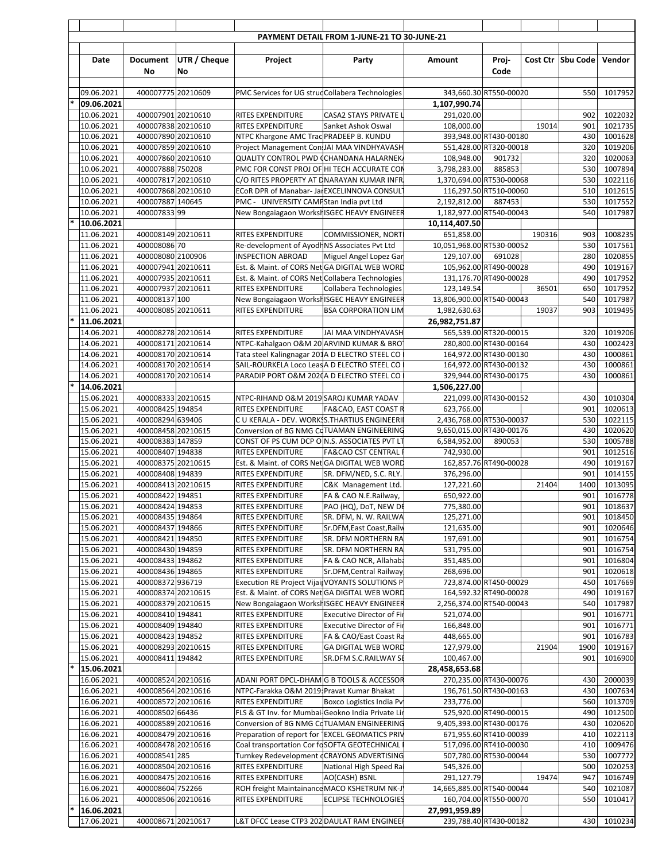|                          |                                          |                     |                                                                                                   | PAYMENT DETAIL FROM 1-JUNE-21 TO 30-JUNE-21      |                                                  |        |        |                     |                    |
|--------------------------|------------------------------------------|---------------------|---------------------------------------------------------------------------------------------------|--------------------------------------------------|--------------------------------------------------|--------|--------|---------------------|--------------------|
| Date                     | Document                                 | <b>UTR / Cheque</b> | Project                                                                                           | Party                                            | Amount                                           | Proj-  |        | Cost Ctr   Sbu Code | Vendor             |
|                          | No                                       | No                  |                                                                                                   |                                                  |                                                  | Code   |        |                     |                    |
| 09.06.2021               | 400007775 20210609                       |                     | PMC Services for UG strud Collabera Technologies                                                  |                                                  | 343,660.30 RT550-00020                           |        |        | 550                 | 1017952            |
| 09.06.2021               |                                          |                     |                                                                                                   |                                                  | 1,107,990.74                                     |        |        |                     |                    |
| 10.06.2021               | 400007901 20210610                       |                     | RITES EXPENDITURE                                                                                 | <b>CASA2 STAYS PRIVATE L</b>                     | 291,020.00                                       |        |        | 902                 | 1022032            |
| 10.06.2021<br>10.06.2021 | 400007838 20210610<br>400007890 20210610 |                     | <b>RITES EXPENDITURE</b><br>NTPC Khargone AMC Trad PRADEEP B. KUNDU                               | Sanket Ashok Oswal                               | 108,000.00<br>393,948.00 RT430-00180             |        | 19014  | 901<br>430          | 1021735<br>1001628 |
| 10.06.2021               | 400007859 20210610                       |                     | Project Management Con JAI MAA VINDHYAVASH                                                        |                                                  | 551,428.00 RT320-00018                           |        |        | 320                 | 1019206            |
| 10.06.2021               | 400007860 20210610                       |                     | <b>QUALITY CONTROL PWD (CHANDANA HALARNEK,</b>                                                    |                                                  | 108,948.00                                       | 901732 |        | 320                 | 1020063            |
| 10.06.2021<br>10.06.2021 | 400007888 750208<br>400007817 20210610   |                     | PMC FOR CONST PROJ OF HI TECH ACCURATE COM<br>C/O RITES PROPERTY AT DNARAYAN KUMAR INFR           |                                                  | 3,798,283.00<br>1,370,694.00 RT530-00068         | 885853 |        | 530<br>530          | 1007894<br>1022116 |
| 10.06.2021               | 400007868 20210610                       |                     | ECoR DPR of Manabar- Jal EXCELINNOVA CONSUL                                                       |                                                  | 116,297.50 RT510-00060                           |        |        | 510                 | 1012615            |
| 10.06.2021               | 400007887 140645                         |                     | PMC - UNIVERSITY CAMF Stan India pvt Ltd                                                          |                                                  | 2,192,812.00                                     | 887453 |        | 530<br>540          | 1017552            |
| 10.06.2021<br>10.06.2021 | 40000783399                              |                     | New Bongaiagaon Worksh ISGEC HEAVY ENGINEER                                                       |                                                  | 1,182,977.00 RT540-00043<br>10,114,407.50        |        |        |                     | 1017987            |
| 11.06.2021               | 400008149 20210611                       |                     | <b>RITES EXPENDITURE</b>                                                                          | COMMISSIONER, NORT                               | 651,858.00                                       |        | 190316 | 903                 | 1008235            |
| 11.06.2021               | 400008086 70                             |                     | Re-development of Ayodl NS Associates Pvt Ltd                                                     |                                                  | 10,051,968.00 RT530-00052                        |        |        | 530                 | 1017561            |
| 11.06.2021<br>11.06.2021 | 400008080 2100906<br>400007941 20210611  |                     | <b>INSPECTION ABROAD</b><br>Est. & Maint. of CORS Net GA DIGITAL WEB WORD                         | Miguel Angel Lopez Gar                           | 129,107.00<br>105,962.00 RT490-00028             | 691028 |        | 280<br>490          | 1020855<br>1019167 |
| 11.06.2021               | 400007935 20210611                       |                     | Est. & Maint. of CORS Net Collabera Technologies                                                  |                                                  | 131,176.70 RT490-00028                           |        |        | 490                 | 1017952            |
| 11.06.2021               | 400007937 20210611                       |                     | RITES EXPENDITURE                                                                                 | Collabera Technologies                           | 123,149.54                                       |        | 36501  | 650                 | 1017952            |
| 11.06.2021<br>11.06.2021 | 400008137 100<br>400008085 20210611      |                     | New Bongaiagaon Worksh ISGEC HEAVY ENGINEER<br><b>RITES EXPENDITURE</b>                           | <b>BSA CORPORATION LIM</b>                       | 13,806,900.00 RT540-00043<br>1,982,630.63        |        | 19037  | 540<br>903          | 1017987<br>1019495 |
| 11.06.2021               |                                          |                     |                                                                                                   |                                                  | 26,982,751.87                                    |        |        |                     |                    |
| 14.06.2021               | 400008278 20210614                       |                     | <b>RITES EXPENDITURE</b>                                                                          | JAI MAA VINDHYAVASH                              | 565,539.00 RT320-00015                           |        |        | 320                 | 1019206            |
| 14.06.2021<br>14.06.2021 | 400008171 20210614<br>400008170 20210614 |                     | NTPC-Kahalgaon O&M 20 ARVIND KUMAR & BRO<br>Tata steel Kalingnagar 201A D ELECTRO STEEL CO        |                                                  | 280,800.00 RT430-00164<br>164,972.00 RT430-00130 |        |        | 430<br>430          | 1002423<br>1000861 |
| 14.06.2021               | 400008170 20210614                       |                     | SAIL-ROURKELA Loco Leas A D ELECTRO STEEL CO                                                      |                                                  | 164,972.00 RT430-00132                           |        |        | 430                 | 1000861            |
| 14.06.2021               | 400008170 20210614                       |                     | PARADIP PORT O&M 2020A D ELECTRO STEEL CO                                                         |                                                  | 329,944.00 RT430-00175                           |        |        | 430                 | 1000861            |
| 14.06.2021<br>15.06.2021 | 400008333 20210615                       |                     | NTPC-RIHAND O&M 2019 SAROJ KUMAR YADAV                                                            |                                                  | 1,506,227.00<br>221,099.00 RT430-00152           |        |        | 430                 | 1010304            |
| 15.06.2021               | 400008425 194854                         |                     | RITES EXPENDITURE                                                                                 | FA&CAO, EAST COAST R                             | 623,766.00                                       |        |        | 901                 | 1020613            |
| 15.06.2021               | 400008294 639406                         |                     | C U KERALA - DEV. WORK! S. THARTIUS ENGINEERI                                                     |                                                  | 2,436,768.00 RT530-00037                         |        |        | 530                 | 1022115            |
| 15.06.2021<br>15.06.2021 | 400008458 20210615<br>400008383 147859   |                     | Conversion of BG NMG COTUAMAN ENGINEERING<br>CONST OF PS CUM DCP ON.S. ASSOCIATES PVT LT          |                                                  | 9,650,015.00 RT430-00176<br>6,584,952.00         | 890053 |        | 430<br>530          | 1020620<br>1005788 |
| 15.06.2021               | 400008407 194838                         |                     | <b>RITES EXPENDITURE</b>                                                                          | <b>FA&amp;CAO CST CENTRAL</b>                    | 742,930.00                                       |        |        | 901                 | 1012516            |
| 15.06.2021               | 400008375 20210615                       |                     | Est. & Maint. of CORS Net GA DIGITAL WEB WORD                                                     |                                                  | 162,857.76 RT490-00028                           |        |        | 490                 | 1019167            |
| 15.06.2021               | 400008408 194839<br>400008413 20210615   |                     | RITES EXPENDITURE<br><b>RITES EXPENDITURE</b>                                                     | SR. DFM/NED, S.C. RLY.                           | 376,296.00<br>127,221.60                         |        | 21404  | 901<br>1400         | 1014155<br>1013095 |
| 15.06.2021<br>15.06.2021 | 400008422 194851                         |                     | RITES EXPENDITURE                                                                                 | C&K Management Ltd.<br>FA & CAO N.E.Railway,     | 650,922.00                                       |        |        | 901                 | 1016778            |
| 15.06.2021               | 400008424 194853                         |                     | RITES EXPENDITURE                                                                                 | PAO (HQ), DoT, NEW DE                            | 775,380.00                                       |        |        | 901                 | 1018637            |
| 15.06.2021               | 400008435 194864                         |                     | <b>RITES EXPENDITURE</b>                                                                          | SR. DFM, N. W. RAILWA                            | 125,271.00                                       |        |        | 901                 | 1018450            |
| 15.06.2021<br>15.06.2021 | 400008437 194866<br>400008421 194850     |                     | RITES EXPENDITURE<br>RITES EXPENDITURE                                                            | Sr.DFM, East Coast, Railv<br>SR. DFM NORTHERN RA | 121,635.00<br>197,691.00                         |        |        | 901<br>901          | 1020646<br>1016754 |
| 15.06.2021               | 400008430 194859                         |                     | <b>RITES EXPENDITURE</b>                                                                          | SR. DFM NORTHERN RA                              | 531,795.00                                       |        |        | 901                 | 1016754            |
| 15.06.2021               | 400008433 194862<br>400008436 194865     |                     | RITES EXPENDITURE<br>RITES EXPENDITURE                                                            | FA & CAO NCR, Allahaba                           | 351,485.00<br>268,696.00                         |        |        | 901<br>901          | 1016804<br>1020618 |
| 15.06.2021<br>15.06.2021 | 400008372 936719                         |                     | Execution RE Project Vijai VOYANTS SOLUTIONS P                                                    | Sr.DFM, Central Railway                          | 723,874.00 RT450-00029                           |        |        | 450                 | 1017669            |
| 15.06.2021               | 400008374 20210615                       |                     | Est. & Maint. of CORS Net GA DIGITAL WEB WORD                                                     |                                                  | 164,592.32 RT490-00028                           |        |        | 490                 | 1019167            |
| 15.06.2021               | 400008379 20210615                       |                     | New Bongaiagaon Worksh ISGEC HEAVY ENGINEER                                                       | <b>Executive Director of Fir</b>                 | 2,256,374.00 RT540-00043                         |        |        | 540<br>901          | 1017987<br>1016771 |
| 15.06.2021<br>15.06.2021 | 400008410 194841<br>400008409 194840     |                     | RITES EXPENDITURE<br>RITES EXPENDITURE                                                            | Executive Director of Fir                        | 521,074.00<br>166,848.00                         |        |        | 901                 | 1016771            |
| 15.06.2021               | 400008423 194852                         |                     | RITES EXPENDITURE                                                                                 | FA & CAO/East Coast Ra                           | 448,665.00                                       |        |        | 901                 | 1016783            |
| 15.06.2021               | 400008293 20210615                       |                     | RITES EXPENDITURE                                                                                 | <b>GA DIGITAL WEB WORD</b>                       | 127,979.00                                       |        | 21904  | 1900                | 1019167            |
| 15.06.2021<br>15.06.2021 | 400008411 194842                         |                     | RITES EXPENDITURE                                                                                 | SR.DFM S.C.RAILWAY SE                            | 100,467.00<br>28,458,653.68                      |        |        | 901                 | 1016900            |
| 16.06.2021               | 400008524 20210616                       |                     | ADANI PORT DPCL-DHAM G B TOOLS & ACCESSOR                                                         |                                                  | 270,235.00 RT430-00076                           |        |        | 430                 | 2000039            |
| 16.06.2021               | 400008564 20210616                       |                     | NTPC-Farakka O&M 2019 Pravat Kumar Bhakat                                                         |                                                  | 196,761.50 RT430-00163                           |        |        | 430                 | 1007634            |
| 16.06.2021<br>16.06.2021 | 400008572 20210616<br>400008502 66436    |                     | RITES EXPENDITURE<br>FLS & GT Inv. for Mumbai Geokno India Private Li                             | Boxco Logistics India Pv                         | 233,776.00<br>525,920.00 RT490-00015             |        |        | 560<br>490          | 1013709<br>1012500 |
| 16.06.2021               | 400008589 20210616                       |                     | Conversion of BG NMG COTUAMAN ENGINEERING                                                         |                                                  | 9,405,393.00 RT430-00176                         |        |        | 430                 | 1020620            |
| 16.06.2021               | 400008479 20210616                       |                     | Preparation of report for   EXCEL GEOMATICS PRIV<br>Coal transportation Cor fo SOFTA GEOTECHNICAL |                                                  | 671,955.60 RT410-00039<br>517,096.00 RT410-00030 |        |        | 410<br>410          | 1022113<br>1009476 |
| 16.06.2021<br>16.06.2021 | 400008478 20210616<br>400008541 285      |                     | Turnkey Redevelopment (CRAYONS ADVERTISING                                                        |                                                  | 507,780.00 RT530-00044                           |        |        | 530                 | 1007772            |
| 16.06.2021               | 400008504 20210616                       |                     | RITES EXPENDITURE                                                                                 | National High Speed Ra                           | 545,326.00                                       |        |        | 500                 | 1020253            |
| 16.06.2021<br>16.06.2021 | 400008475 20210616<br>400008604 752266   |                     | RITES EXPENDITURE<br>ROH freight Maintainance MACO KSHETRUM NK-J                                  | AO(CASH) BSNL                                    | 291,127.79<br>14,665,885.00 RT540-00044          |        | 19474  | 947<br>540          | 1016749<br>1021087 |
| 16.06.2021               | 400008506 20210616                       |                     | RITES EXPENDITURE                                                                                 | <b>ECLIPSE TECHNOLOGIES</b>                      | 160,704.00 RT550-00070                           |        |        | 550                 | 1010417            |
| 16.06.2021               |                                          |                     |                                                                                                   |                                                  | 27,991,959.89                                    |        |        |                     |                    |
| 17.06.2021               | 400008671 20210617                       |                     | L&T DFCC Lease CTP3 202 DAULAT RAM ENGINEE                                                        |                                                  | 239,788.40 RT430-00182                           |        |        | 430                 | 1010234            |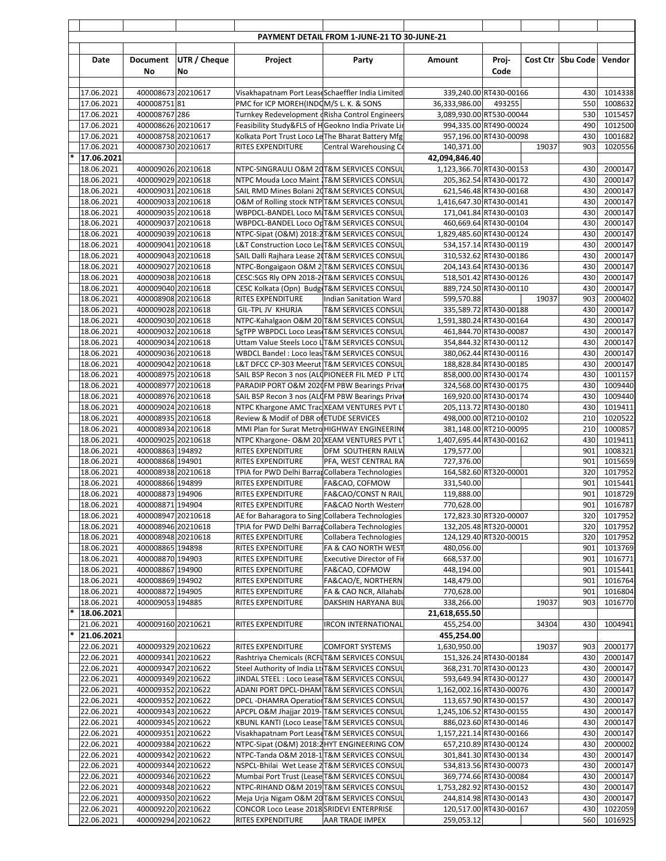|        |                          |                                          |                           |                                                                                                  | PAYMENT DETAIL FROM 1-JUNE-21 TO 30-JUNE-21              |                                           |                        |       |                   |                    |
|--------|--------------------------|------------------------------------------|---------------------------|--------------------------------------------------------------------------------------------------|----------------------------------------------------------|-------------------------------------------|------------------------|-------|-------------------|--------------------|
|        | Date                     | <b>Document</b><br>No                    | <b>UTR / Cheque</b><br>No | Project                                                                                          | Party                                                    | Amount                                    | Proj-<br>Code          |       | Cost Ctr Sbu Code | Vendor             |
|        |                          |                                          |                           |                                                                                                  |                                                          |                                           |                        |       |                   |                    |
|        | 17.06.2021<br>17.06.2021 | 400008673 20210617<br>40000875181        |                           | Visakhapatnam Port Lease Schaeffler India Limited<br>PMC for ICP MOREH(INDOM/S L. K. & SONS      |                                                          | 339,240.00 RT430-00166<br>36,333,986.00   | 493255                 |       | 430<br>550        | 1014338<br>1008632 |
|        | 17.06.2021               | 400008767 286                            |                           | Turnkey Redevelopment (Risha Control Engineers                                                   |                                                          | 3,089,930.00 RT530-00044                  |                        |       | 530               | 1015457            |
|        | 17.06.2021               | 400008626 20210617                       |                           | Feasibility Study&FLS of HGeokno India Private Lin                                               |                                                          | 994,335.00 RT490-00024                    |                        |       | 490               | 1012500            |
|        | 17.06.2021               | 400008758 20210617                       |                           | Kolkata Port Trust Loco Le The Bharat Battery Mfg                                                |                                                          |                                           | 957,196.00 RT430-00098 |       | 430               | 1001682            |
|        | 17.06.2021               | 400008730 20210617                       |                           | <b>RITES EXPENDITURE</b>                                                                         | <b>Central Warehousing Co</b>                            | 140,371.00                                |                        | 19037 | 903               | 1020556            |
|        | 17.06.2021<br>18.06.2021 | 400009026 20210618                       |                           | NTPC-SINGRAULI O&M 20T&M SERVICES CONSUL                                                         |                                                          | 42,094,846.40<br>1,123,366.70 RT430-00153 |                        |       | 430               | 2000147            |
|        | 18.06.2021               | 400009029 20210618                       |                           | NTPC Mouda Loco Maint   T&M SERVICES CONSUL                                                      |                                                          |                                           | 205,362.54 RT430-00172 |       | 430               | 2000147            |
|        | 18.06.2021               | 400009031 20210618                       |                           | SAIL RMD Mines Bolani 20T&M SERVICES CONSUL                                                      |                                                          |                                           | 621,546.48 RT430-00168 |       | 430               | 2000147            |
|        | 18.06.2021               | 400009033 20210618                       |                           | O&M of Rolling stock NTP T&M SERVICES CONSUL                                                     |                                                          | 1,416,647.30 RT430-00141                  |                        |       | 430               | 2000147            |
|        | 18.06.2021               | 400009035 20210618                       |                           | WBPDCL-BANDEL Loco M T&M SERVICES CONSUL                                                         |                                                          | 171,041.84 RT430-00103                    |                        |       | 430               | 2000147            |
|        | 18.06.2021<br>18.06.2021 | 400009037 20210618<br>400009039 20210618 |                           | WBPDCL-BANDEL Loco OrT&M SERVICES CONSUL<br>NTPC-Sipat (O&M) 2018:2 T&M SERVICES CONSUL          |                                                          | 1,829,485.60 RT430-00124                  | 460,669.64 RT430-00104 |       | 430<br>430        | 2000147<br>2000147 |
|        | 18.06.2021               | 400009041 20210618                       |                           | L&T Construction Loco Le T&M SERVICES CONSUL                                                     |                                                          |                                           | 534,157.14 RT430-00119 |       | 430               | 2000147            |
|        | 18.06.2021               | 400009043 20210618                       |                           | SAIL Dalli Rajhara Lease 2(T&M SERVICES CONSUL                                                   |                                                          |                                           | 310,532.62 RT430-00186 |       | 430               | 2000147            |
|        | 18.06.2021               | 400009027 20210618                       |                           | NTPC-Bongaigaon O&M 2 T&M SERVICES CONSUL                                                        |                                                          | 204,143.64 RT430-00136                    |                        |       | 430               | 2000147            |
|        | 18.06.2021               | 400009038 20210618                       |                           | CESC:SGS RIV OPN 2018-2 T&M SERVICES CONSUL                                                      |                                                          |                                           | 518,501.42 RT430-00126 |       | 430               | 2000147            |
|        | 18.06.2021               | 400009040 20210618                       |                           | CESC Kolkata (Opn) Budg T&M SERVICES CONSUL                                                      |                                                          |                                           | 889,724.50 RT430-00110 |       | 430               | 2000147<br>2000402 |
|        | 18.06.2021<br>18.06.2021 | 400008908 20210618<br>400009028 20210618 |                           | <b>RITES EXPENDITURE</b><br>GIL-TPL JV KHURJA                                                    | Indian Sanitation Ward<br><b>T&amp;M SERVICES CONSUL</b> | 599,570.88                                | 335,589.72 RT430-00188 | 19037 | 903<br>430        | 2000147            |
|        | 18.06.2021               | 400009030 20210618                       |                           | NTPC-Kahalgaon O&M 20 T&M SERVICES CONSUL                                                        |                                                          | 1,591,380.24 RT430-00164                  |                        |       | 430               | 2000147            |
|        | 18.06.2021               | 400009032 20210618                       |                           | SgTPP WBPDCL Loco Leas T&M SERVICES CONSUL                                                       |                                                          |                                           | 461,844.70 RT430-00087 |       | 430               | 2000147            |
|        | 18.06.2021               | 400009034 20210618                       |                           | Uttam Value Steels Loco LT&M SERVICES CONSUL                                                     |                                                          |                                           | 354,844.32 RT430-00112 |       | 430               | 2000147            |
|        | 18.06.2021               | 400009036 20210618                       |                           | WBDCL Bandel: Loco leas T&M SERVICES CONSUL                                                      |                                                          |                                           | 380,062.44 RT430-00116 |       | 430               | 2000147            |
|        | 18.06.2021<br>18.06.2021 | 400009042 20210618<br>400008975 20210618 |                           | L&T DFCC CP-303 Meerut T&M SERVICES CONSUL<br>SAIL BSP Recon 3 nos (ALCPIONEER FIL MED P LTD     |                                                          | 188,828.84 RT430-00185                    | 858,000.00 RT430-00174 |       | 430<br>430        | 2000147<br>1001157 |
|        | 18.06.2021               | 400008977 20210618                       |                           | PARADIP PORT O&M 2020 FM PBW Bearings Privat                                                     |                                                          |                                           | 324,568.00 RT430-00175 |       | 430               | 1009440            |
|        | 18.06.2021               | 400008976 20210618                       |                           | SAIL BSP Recon 3 nos (ALCFM PBW Bearings Privat                                                  |                                                          | 169,920.00 RT430-00174                    |                        |       | 430               | 1009440            |
|        | 18.06.2021               | 400009024 20210618                       |                           | NTPC Khargone AMC Trac XEAM VENTURES PVT L                                                       |                                                          |                                           | 205,113.72 RT430-00180 |       | 430               | 1019411            |
|        | 18.06.2021               | 400008935 20210618                       |                           | Review & Modif of DBR of ETUDE SERVICES                                                          |                                                          | 498,000.00 RT210-00102                    |                        |       | 210               | 1020522            |
|        | 18.06.2021               | 400008934 20210618                       |                           | MMI Plan for Surat Metro HIGHWAY ENGINEERING                                                     |                                                          |                                           | 381,148.00 RT210-00095 |       | 210               | 1000857            |
|        | 18.06.2021<br>18.06.2021 | 400009025 20210618<br>400008863 194892   |                           | NTPC Khargone- O&M 20 XEAM VENTURES PVT L<br><b>RITES EXPENDITURE</b>                            | DFM SOUTHERN RAILW                                       | 1,407,695.44 RT430-00162<br>179,577.00    |                        |       | 430<br>901        | 1019411<br>1008321 |
|        | 18.06.2021               | 400008868 194901                         |                           | <b>RITES EXPENDITURE</b>                                                                         | PFA, WEST CENTRAL RA                                     | 727,376.00                                |                        |       | 901               | 1015659            |
|        | 18.06.2021               | 400008938 20210618                       |                           | TPIA for PWD Delhi Barra Collabera Technologies                                                  |                                                          | 164,582.60 RT320-00001                    |                        |       | 320               | 1017952            |
|        | 18.06.2021               | 400008866 194899                         |                           | RITES EXPENDITURE                                                                                | FA&CAO, COFMOW                                           | 331,540.00                                |                        |       | 901               | 1015441            |
|        | 18.06.2021               | 400008873 194906                         |                           | <b>RITES EXPENDITURE</b>                                                                         | FA&CAO/CONST N RAIL                                      | 119,888.00                                |                        |       | 901               | 1018729            |
|        | 18.06.2021<br>18.06.2021 | 400008871 194904<br>400008947 20210618   |                           | RITES EXPENDITURE<br>AE for Baharagora to Sing Collabera Technologies                            | FA&CAO North Western                                     | 770,628.00<br>172,823.30 RT320-00007      |                        |       | 901<br>320        | 1016787<br>1017952 |
|        | 18.06.2021               | 400008946 20210618                       |                           | TPIA for PWD Delhi Barrar Collabera Technologies                                                 |                                                          | 132,205.48 RT320-00001                    |                        |       | 320               | 1017952            |
|        | 18.06.2021               | 400008948 20210618                       |                           | <b>RITES EXPENDITURE</b>                                                                         | Collabera Technologies                                   | 124,129.40 RT320-00015                    |                        |       | 320               | 1017952            |
|        | 18.06.2021               | 400008865 194898                         |                           | RITES EXPENDITURE                                                                                | FA & CAO NORTH WEST                                      | 480,056.00                                |                        |       | 901               | 1013769            |
|        | 18.06.2021               | 400008870 194903                         |                           | RITES EXPENDITURE                                                                                | Executive Director of Fir                                | 668,537.00                                |                        |       | 901               | 1016771            |
|        | 18.06.2021               | 400008867 194900                         |                           | RITES EXPENDITURE                                                                                | FA&CAO, COFMOW                                           | 448,194.00                                |                        |       | 901<br>901        | 1015441            |
|        | 18.06.2021<br>18.06.2021 | 400008869 194902<br>400008872 194905     |                           | RITES EXPENDITURE<br><b>RITES EXPENDITURE</b>                                                    | FA&CAO/E, NORTHERN<br>FA & CAO NCR, Allahaba             | 148,479.00<br>770,628.00                  |                        |       | 901               | 1016764<br>1016804 |
|        | 18.06.2021               | 400009053 194885                         |                           | RITES EXPENDITURE                                                                                | DAKSHIN HARYANA BIJI                                     | 338,266.00                                |                        | 19037 | 903               | 1016770            |
| $\ast$ | 18.06.2021               |                                          |                           |                                                                                                  |                                                          | 21,618,655.50                             |                        |       |                   |                    |
|        | 21.06.2021               | 400009160 20210621                       |                           | <b>RITES EXPENDITURE</b>                                                                         | <b>IRCON INTERNATIONAL</b>                               | 455,254.00                                |                        | 34304 | 430               | 1004941            |
|        | 21.06.2021               |                                          |                           |                                                                                                  |                                                          | 455,254.00                                |                        |       |                   |                    |
|        | 22.06.2021               | 400009329 20210622                       |                           | <b>RITES EXPENDITURE</b>                                                                         | <b>COMFORT SYSTEMS</b>                                   | 1,630,950.00                              |                        | 19037 | 903               | 2000177            |
|        | 22.06.2021<br>22.06.2021 | 400009341 20210622<br>400009347 20210622 |                           | Rashtriya Chemicals (RCFI T&M SERVICES CONSUL<br>Steel Authority of India Lt T&M SERVICES CONSUL |                                                          | 151,326.24 RT430-00184                    | 368,231.70 RT430-00123 |       | 430<br>430        | 2000147<br>2000147 |
|        | 22.06.2021               | 400009349 20210622                       |                           | JINDAL STEEL : Loco Lease T&M SERVICES CONSUL                                                    |                                                          |                                           | 593,649.94 RT430-00127 |       | 430               | 2000147            |
|        | 22.06.2021               | 400009352 20210622                       |                           | ADANI PORT DPCL-DHAM T&M SERVICES CONSUL                                                         |                                                          | 1,162,002.16 RT430-00076                  |                        |       | 430               | 2000147            |
|        | 22.06.2021               | 400009352 20210622                       |                           | DPCL-DHAMRA Operation T&M SERVICES CONSUL                                                        |                                                          |                                           | 113,657.90 RT430-00157 |       | 430               | 2000147            |
|        | 22.06.2021               | 400009343 20210622                       |                           | APCPL O&M Jhajjar 2019-T&M SERVICES CONSUL                                                       |                                                          | 1,245,106.52 RT430-00155                  |                        |       | 430               | 2000147            |
|        | 22.06.2021<br>22.06.2021 | 400009345 20210622<br>400009351 20210622 |                           | KBUNL KANTI (Loco Lease T&M SERVICES CONSUL<br>Visakhapatnam Port Lease T&M SERVICES CONSUL      |                                                          | 1,157,221.14 RT430-00166                  | 886,023.60 RT430-00146 |       | 430<br>430        | 2000147<br>2000147 |
|        | 22.06.2021               | 400009384 20210622                       |                           | NTPC-Sipat (O&M) 2018:2 HYT ENGINEERING COM                                                      |                                                          |                                           | 657,210.89 RT430-00124 |       | 430               | 2000002            |
|        | 22.06.2021               | 400009342 20210622                       |                           | NTPC-Tanda O&M 2018-1 T&M SERVICES CONSUL                                                        |                                                          |                                           | 301,841.30 RT430-00134 |       | 430               | 2000147            |
|        | 22.06.2021               | 400009344 20210622                       |                           | NSPCL-Bhilai Wet Lease 2T&M SERVICES CONSUL                                                      |                                                          |                                           | 534,813.56 RT430-00073 |       | 430               | 2000147            |
|        | 22.06.2021               | 400009346 20210622                       |                           | Mumbai Port Trust (Lease T&M SERVICES CONSUL                                                     |                                                          |                                           | 369,774.66 RT430-00084 |       | 430               | 2000147            |
|        | 22.06.2021<br>22.06.2021 | 400009348 20210622<br>400009350 20210622 |                           | NTPC-RIHAND O&M 2019 T&M SERVICES CONSUL<br>Meja Urja Nigam O&M 20T&M SERVICES CONSUL            |                                                          | 1,753,282.92 RT430-00152                  | 244,814.98 RT430-00143 |       | 430<br>430        | 2000147<br>2000147 |
|        | 22.06.2021               | 400009220 20210622                       |                           | CONCOR Loco Lease 2018 SRIDEVI ENTERPRISE                                                        |                                                          | 120,517.00 RT430-00167                    |                        |       | 430               | 1022059            |
|        | 22.06.2021               | 400009294 20210622                       |                           | RITES EXPENDITURE                                                                                | AAR TRADE IMPEX                                          | 259,053.12                                |                        |       | 560               | 1016925            |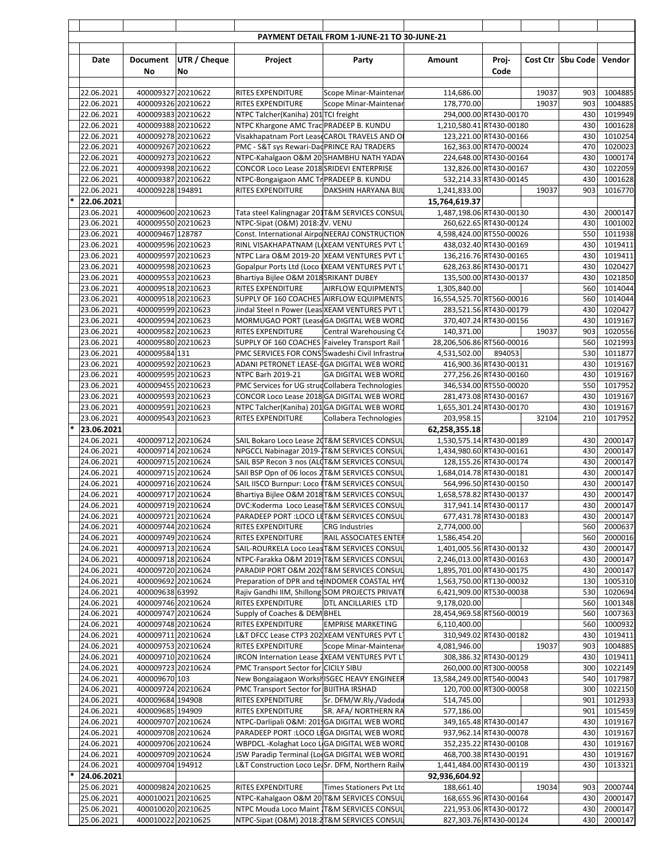|        |                          |                                          |                     |                                                                                            | PAYMENT DETAIL FROM 1-JUNE-21 TO 30-JUNE-21 |                                                      |                                                  |       |                     |                    |
|--------|--------------------------|------------------------------------------|---------------------|--------------------------------------------------------------------------------------------|---------------------------------------------|------------------------------------------------------|--------------------------------------------------|-------|---------------------|--------------------|
|        | Date                     | Document                                 | <b>UTR / Cheque</b> | Project                                                                                    | Party                                       | Amount                                               | Proj-                                            |       | Cost Ctr   Sbu Code | Vendor             |
|        |                          | No                                       | No                  |                                                                                            |                                             |                                                      | Code                                             |       |                     |                    |
|        |                          |                                          |                     |                                                                                            |                                             |                                                      |                                                  |       |                     |                    |
|        | 22.06.2021               | 400009327 20210622                       |                     | <b>RITES EXPENDITURE</b>                                                                   | Scope Minar-Maintenar                       | 114,686.00                                           |                                                  | 19037 | 903                 | 1004885            |
|        | 22.06.2021               | 400009326 20210622                       |                     | <b>RITES EXPENDITURE</b>                                                                   | Scope Minar-Maintenar                       | 178,770.00                                           |                                                  | 19037 | 903                 | 1004885            |
|        | 22.06.2021               | 400009383 20210622                       |                     | NTPC Talcher(Kaniha) 201 TCI freight                                                       |                                             |                                                      | 294,000.00 RT430-00170                           |       | 430                 | 1019949            |
|        | 22.06.2021<br>22.06.2021 | 400009388 20210622<br>400009278 20210622 |                     | NTPC Khargone AMC Trad PRADEEP B. KUNDU<br>Visakhapatnam Port Lease CAROL TRAVELS AND OI   |                                             | 1,210,580.41 RT430-00180                             | 123,221.00 RT430-00166                           |       | 430<br>430          | 1001628<br>1010254 |
|        | 22.06.2021               | 400009267 20210622                       |                     | PMC - S&T sys Rewari-Dad PRINCE RAJ TRADERS                                                |                                             |                                                      | 162,363.00 RT470-00024                           |       | 470                 | 1020023            |
|        | 22.06.2021               | 400009273 20210622                       |                     | NTPC-Kahalgaon O&M 20 SHAMBHU NATH YADAY                                                   |                                             |                                                      | 224,648.00 RT430-00164                           |       | 430                 | 1000174            |
|        | 22.06.2021               | 400009398 20210622                       |                     | CONCOR Loco Lease 2018 SRIDEVI ENTERPRISE                                                  |                                             |                                                      | 132,826.00 RT430-00167                           |       | 430                 | 1022059            |
|        | 22.06.2021               | 400009387 20210622                       |                     | NTPC-Bongaigaon AMC Tr PRADEEP B. KUNDU                                                    |                                             |                                                      | 532,214.33 RT430-00145                           |       | 430                 | 1001628            |
|        | 22.06.2021               | 400009228 194891                         |                     | <b>RITES EXPENDITURE</b>                                                                   | DAKSHIN HARYANA BIJI                        | 1,241,833.00                                         |                                                  | 19037 | 903                 | 1016770            |
|        | 22.06.2021<br>23.06.2021 | 400009600 20210623                       |                     | Tata steel Kalingnagar 201T&M SERVICES CONSUL                                              |                                             | 15,764,619.37<br>1,487,198.06 RT430-00130            |                                                  |       | 430                 | 2000147            |
|        | 23.06.2021               | 400009550 20210623                       |                     | NTPC-Sipat (O&M) 2018:2V. VENU                                                             |                                             |                                                      | 260,622.65 RT430-00124                           |       | 430                 | 1001002            |
|        | 23.06.2021               | 400009467 128787                         |                     | Const. International Airpo NEERAJ CONSTRUCTION                                             |                                             | 4,598,424.00 RT550-00026                             |                                                  |       | 550                 | 1011938            |
|        | 23.06.2021               | 400009596 20210623                       |                     | RINL VISAKHAPATNAM (LIXEAM VENTURES PVT L                                                  |                                             |                                                      | 438,032.40 RT430-00169                           |       | 430                 | 1019411            |
|        | 23.06.2021               | 400009597 20210623                       |                     | NTPC Lara O&M 2019-20 XEAM VENTURES PVT L                                                  |                                             |                                                      | 136,216.76 RT430-00165                           |       | 430                 | 1019411            |
|        | 23.06.2021               | 400009598 20210623                       |                     | Gopalpur Ports Ltd (Loco   XEAM VENTURES PVT L'                                            |                                             |                                                      | 628,263.86 RT430-00171                           |       | 430                 | 1020427            |
|        | 23.06.2021               | 400009553 20210623                       |                     | Bhartiya Bijlee O&M 2018 SRIKANT DUBEY                                                     |                                             |                                                      | 135,500.00 RT430-00137                           |       | 430                 | 1021850            |
|        | 23.06.2021<br>23.06.2021 | 400009518 20210623<br>400009518 20210623 |                     | <b>RITES EXPENDITURE</b><br>SUPPLY OF 160 COACHES AIRFLOW EQUIPMENTS                       | <b>AIRFLOW EQUIPMENTS</b>                   | 1,305,840.00<br>16,554,525.70 RT560-00016            |                                                  |       | 560<br>560          | 1014044<br>1014044 |
|        | 23.06.2021               | 400009599 20210623                       |                     | Jindal Steel n Power (Leas XEAM VENTURES PVT L                                             |                                             |                                                      | 283,521.56 RT430-00179                           |       | 430                 | 1020427            |
|        | 23.06.2021               | 400009594 20210623                       |                     | MORMUGAO PORT (Lease GA DIGITAL WEB WORD                                                   |                                             |                                                      | 370,407.24 RT430-00156                           |       | 430                 | 1019167            |
|        | 23.06.2021               | 400009582 20210623                       |                     | <b>RITES EXPENDITURE</b>                                                                   | Central Warehousing Co                      | 140,371.00                                           |                                                  | 19037 | 903                 | 1020556            |
|        | 23.06.2021               | 400009580 20210623                       |                     | SUPPLY OF 160 COACHES Faiveley Transport Rail                                              |                                             | 28,206,506.86 RT560-00016                            |                                                  |       | 560                 | 1021993            |
|        | 23.06.2021               | 400009584 131                            |                     | PMC SERVICES FOR CONS Swadeshi Civil Infrastru                                             |                                             | 4,531,502.00                                         | 894053                                           |       | 530                 | 1011877            |
|        | 23.06.2021<br>23.06.2021 | 400009592 20210623<br>400009595 20210623 |                     | ADANI PETRONET LEASE-I GA DIGITAL WEB WORD<br><b>NTPC Barh 2019-21</b>                     | <b>GA DIGITAL WEB WORD</b>                  |                                                      | 416,900.36 RT430-00131<br>277,256.26 RT430-00160 |       | 430<br>430          | 1019167<br>1019167 |
|        | 23.06.2021               | 400009455 20210623                       |                     | PMC Services for UG strud Collabera Technologies                                           |                                             |                                                      | 346,534.00 RT550-00020                           |       | 550                 | 1017952            |
|        | 23.06.2021               | 400009593 20210623                       |                     | CONCOR Loco Lease 2018 GA DIGITAL WEB WORD                                                 |                                             |                                                      | 281,473.08 RT430-00167                           |       | 430                 | 1019167            |
|        | 23.06.2021               | 400009591 20210623                       |                     | NTPC Talcher(Kaniha) 201 GA DIGITAL WEB WORD                                               |                                             | 1,655,301.24 RT430-00170                             |                                                  |       | 430                 | 1019167            |
|        | 23.06.2021               | 400009543 20210623                       |                     | <b>RITES EXPENDITURE</b>                                                                   | Collabera Technologies                      | 203,958.15                                           |                                                  | 32104 | 210                 | 1017952            |
| $\ast$ | 23.06.2021               |                                          |                     |                                                                                            |                                             | 62,258,355.18                                        |                                                  |       |                     |                    |
|        | 24.06.2021<br>24.06.2021 | 400009712 20210624<br>400009714 20210624 |                     | SAIL Bokaro Loco Lease 20T&M SERVICES CONSUL<br>NPGCCL Nabinagar 2019-1T&M SERVICES CONSUL |                                             | 1,530,575.14 RT430-00189<br>1,434,980.60 RT430-00161 |                                                  |       | 430<br>430          | 2000147<br>2000147 |
|        | 24.06.2021               | 400009715 20210624                       |                     | SAIL BSP Recon 3 nos (ALCT&M SERVICES CONSUL                                               |                                             |                                                      | 128,155.26 RT430-00174                           |       | 430                 | 2000147            |
|        | 24.06.2021               | 400009715 20210624                       |                     | SAII BSP Opn of 06 locos 2T&M SERVICES CONSUL                                              |                                             | 1,684,014.78 RT430-00181                             |                                                  |       | 430                 | 2000147            |
|        | 24.06.2021               | 400009716 20210624                       |                     | SAIL IISCO Burnpur: Loco IT&M SERVICES CONSUL                                              |                                             |                                                      | 564,996.50 RT430-00150                           |       | 430                 | 2000147            |
|        | 24.06.2021               | 400009717 20210624                       |                     | Bhartiya Bijlee O&M 2018 T&M SERVICES CONSUL                                               |                                             | 1,658,578.82 RT430-00137                             |                                                  |       | 430                 | 2000147            |
|        | 24.06.2021               | 400009719 20210624                       |                     | DVC:Koderma Loco Lease T&M SERVICES CONSUL                                                 |                                             |                                                      | 317,941.14 RT430-00117                           |       | 430                 | 2000147            |
|        | 24.06.2021<br>24.06.2021 | 400009721 20210624<br>400009744 20210624 |                     | PARADEEP PORT : LOCO LIT&M SERVICES CONSUL<br>RITES EXPENDITURE                            | <b>CRG</b> Industries                       | 2,774,000.00                                         | 677,431.78 RT430-00183                           |       | 430<br>560          | 2000147<br>2000637 |
|        | 24.06.2021               | 400009749 20210624                       |                     | <b>RITES EXPENDITURE</b>                                                                   | RAIL ASSOCIATES ENTER                       | 1,586,454.20                                         |                                                  |       | 560                 | 2000016            |
|        | 24.06.2021               | 400009713 20210624                       |                     | SAIL-ROURKELA Loco Leas T&M SERVICES CONSUL                                                |                                             | 1,401,005.56 RT430-00132                             |                                                  |       | 430                 | 2000147            |
|        | 24.06.2021               | 400009718 20210624                       |                     | NTPC-Farakka O&M 2019 T&M SERVICES CONSUL                                                  |                                             | 2,246,013.00 RT430-00163                             |                                                  |       | 430                 | 2000147            |
|        | 24.06.2021               | 400009720 20210624                       |                     | PARADIP PORT O&M 2020T&M SERVICES CONSUL                                                   |                                             | 1,895,701.00 RT430-00175                             |                                                  |       | 430                 | 2000147            |
|        | 24.06.2021               | 400009692 20210624                       |                     | Preparation of DPR and telNDOMER COASTAL HYL                                               |                                             | 1,563,750.00 RT130-00032                             |                                                  |       | 130                 | 1005310            |
|        | 24.06.2021<br>24.06.2021 | 400009638 63992<br>400009746 20210624    |                     | Rajiv Gandhi IIM, Shillong SOM PROJECTS PRIVATI<br>RITES EXPENDITURE                       | DTL ANCILLARIES LTD                         | 6,421,909.00 RT530-00038<br>9,178,020.00             |                                                  |       | 530<br>560          | 1020694<br>1001348 |
|        | 24.06.2021               | 400009747 20210624                       |                     | Supply of Coaches & DEM BHEL                                                               |                                             | 28,454,969.58 RT560-00019                            |                                                  |       | 560                 | 1007363            |
|        | 24.06.2021               | 400009748 20210624                       |                     | RITES EXPENDITURE                                                                          | <b>EMPRISE MARKETING</b>                    | 6,110,400.00                                         |                                                  |       | 560                 | 1000932            |
|        | 24.06.2021               | 400009711 20210624                       |                     | L&T DFCC Lease CTP3 202 XEAM VENTURES PVT L'                                               |                                             |                                                      | 310,949.02 RT430-00182                           |       | 430                 | 1019411            |
|        | 24.06.2021               | 400009753 20210624                       |                     | RITES EXPENDITURE                                                                          | Scope Minar-Maintenar                       | 4,081,946.00                                         |                                                  | 19037 | 903                 | 1004885            |
|        | 24.06.2021               | 400009710 20210624                       |                     | IRCON Internation Lease 2XEAM VENTURES PVT L                                               |                                             |                                                      | 308,386.32 RT430-00129                           |       | 430                 | 1019411            |
|        | 24.06.2021<br>24.06.2021 | 400009723 20210624<br>400009670 103      |                     | PMC Transport Sector for CICILY SIBU<br>New Bongaiagaon Worksh ISGEC HEAVY ENGINEER        |                                             | 13,584,249.00 RT540-00043                            | 260,000.00 RT300-00058                           |       | 300<br>540          | 1022149<br>1017987 |
|        | 24.06.2021               | 400009724 20210624                       |                     | PMC Transport Sector for BIJITHA IRSHAD                                                    |                                             |                                                      | 120,700.00 RT300-00058                           |       | 300                 | 1022150            |
|        | 24.06.2021               | 400009684 194908                         |                     | RITES EXPENDITURE                                                                          | Sr. DFM/W.Rly./Vadoda                       | 514,745.00                                           |                                                  |       | 901                 | 1012933            |
|        | 24.06.2021               | 400009685 194909                         |                     | RITES EXPENDITURE                                                                          | SR. AFA/ NORTHERN RA                        | 577,186.00                                           |                                                  |       | 901                 | 1015459            |
|        | 24.06.2021               | 400009707 20210624                       |                     | NTPC-Darlipali O&M: 2011GA DIGITAL WEB WORD                                                |                                             |                                                      | 349,165.48 RT430-00147                           |       | 430                 | 1019167            |
|        | 24.06.2021               | 400009708 20210624                       |                     | PARADEEP PORT : LOCO LI GA DIGITAL WEB WORD<br>WBPDCL-Kolaghat Loco L GA DIGITAL WEB WORD  |                                             |                                                      | 937,962.14 RT430-00078                           |       | 430                 | 1019167            |
|        | 24.06.2021<br>24.06.2021 | 400009706 20210624<br>400009709 20210624 |                     | JSW Paradip Terminal (LocGA DIGITAL WEB WORD                                               |                                             |                                                      | 352,235.22 RT430-00108<br>468,700.38 RT430-00191 |       | 430<br>430          | 1019167<br>1019167 |
|        | 24.06.2021               | 400009704 194912                         |                     | L&T Construction Loco LeiSr. DFM, Northern Railv                                           |                                             | 1,441,484.00 RT430-00119                             |                                                  |       | 430                 | 1013321            |
| $\ast$ | 24.06.2021               |                                          |                     |                                                                                            |                                             | 92,936,604.92                                        |                                                  |       |                     |                    |
|        | 25.06.2021               | 400009824 20210625                       |                     | <b>RITES EXPENDITURE</b>                                                                   | <b>Times Stationers Pvt Ltd</b>             | 188,661.40                                           |                                                  | 19034 | 903                 | 2000744            |
|        | 25.06.2021               | 400010021 20210625                       |                     | NTPC-Kahalgaon O&M 20 T&M SERVICES CONSUL                                                  |                                             |                                                      | 168,655.96 RT430-00164                           |       | 430                 | 2000147            |
|        | 25.06.2021               | 400010020 20210625                       |                     | NTPC Mouda Loco Maint T&M SERVICES CONSUL                                                  |                                             | 221,953.06 RT430-00172                               |                                                  |       | 430                 | 2000147            |
|        | 25.06.2021               | 400010022 20210625                       |                     | NTPC-Sipat (O&M) 2018:2T&M SERVICES CONSUL                                                 |                                             |                                                      | 827,303.76 RT430-00124                           |       | 430                 | 2000147            |